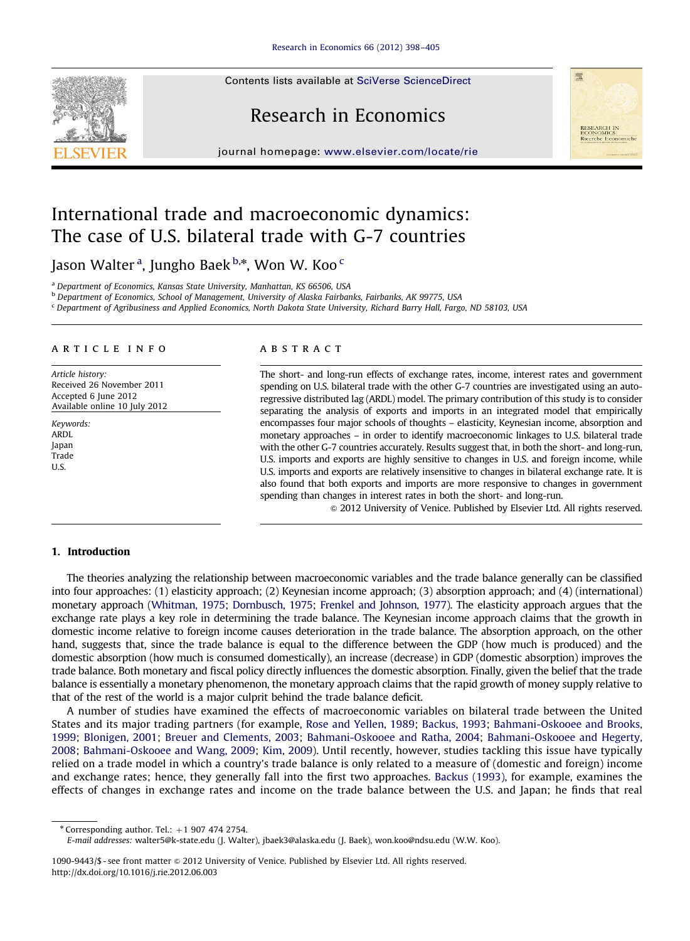Contents lists available at [SciVerse ScienceDirect](www.elsevier.com/locate/rie)

# Research in Economics

journal homepage: <www.elsevier.com/locate/rie>



# International trade and macroeconomic dynamics: The case of U.S. bilateral trade with G-7 countries

Jason Walter <sup>a</sup>, Jungho Baek <sup>b,</sup>\*, Won W. Koo <sup>c</sup>

<sup>a</sup> Department of Economics, Kansas State University, Manhattan, KS 66506, USA

**b Department of Economics, School of Management, University of Alaska Fairbanks, Fairbanks, AK 99775, USA** 

<sup>c</sup> Department of Agribusiness and Applied Economics, North Dakota State University, Richard Barry Hall, Fargo, ND 58103, USA

## article info

Article history: Received 26 November 2011 Accepted 6 June 2012 Available online 10 July 2012

Keywords: ARDL Japan Trade U.S.

## **ABSTRACT**

The short- and long-run effects of exchange rates, income, interest rates and government spending on U.S. bilateral trade with the other G-7 countries are investigated using an autoregressive distributed lag (ARDL) model. The primary contribution of this study is to consider separating the analysis of exports and imports in an integrated model that empirically encompasses four major schools of thoughts – elasticity, Keynesian income, absorption and monetary approaches – in order to identify macroeconomic linkages to U.S. bilateral trade with the other G-7 countries accurately. Results suggest that, in both the short- and long-run, U.S. imports and exports are highly sensitive to changes in U.S. and foreign income, while U.S. imports and exports are relatively insensitive to changes in bilateral exchange rate. It is also found that both exports and imports are more responsive to changes in government spending than changes in interest rates in both the short- and long-run.

 $\odot$  2012 University of Venice. Published by Elsevier Ltd. All rights reserved.

### 1. Introduction

The theories analyzing the relationship between macroeconomic variables and the trade balance generally can be classified into four approaches: (1) elasticity approach; (2) Keynesian income approach; (3) absorption approach; and (4) (international) monetary approach [\(Whitman, 1975;](#page--1-0) [Dornbusch, 1975;](#page--1-0) [Frenkel and Johnson, 1977](#page--1-0)). The elasticity approach argues that the exchange rate plays a key role in determining the trade balance. The Keynesian income approach claims that the growth in domestic income relative to foreign income causes deterioration in the trade balance. The absorption approach, on the other hand, suggests that, since the trade balance is equal to the difference between the GDP (how much is produced) and the domestic absorption (how much is consumed domestically), an increase (decrease) in GDP (domestic absorption) improves the trade balance. Both monetary and fiscal policy directly influences the domestic absorption. Finally, given the belief that the trade balance is essentially a monetary phenomenon, the monetary approach claims that the rapid growth of money supply relative to that of the rest of the world is a major culprit behind the trade balance deficit.

A number of studies have examined the effects of macroeconomic variables on bilateral trade between the United States and its major trading partners (for example, [Rose and Yellen, 1989](#page--1-0); [Backus, 1993;](#page--1-0) [Bahmani-Oskooee and Brooks,](#page--1-0) [1999](#page--1-0); [Blonigen, 2001](#page--1-0); [Breuer and Clements, 2003](#page--1-0); [Bahmani-Oskooee and Ratha, 2004;](#page--1-0) [Bahmani-Oskooee and Hegerty,](#page--1-0) [2008;](#page--1-0) [Bahmani-Oskooee and Wang, 2009](#page--1-0); [Kim, 2009\)](#page--1-0). Until recently, however, studies tackling this issue have typically relied on a trade model in which a country's trade balance is only related to a measure of (domestic and foreign) income and exchange rates; hence, they generally fall into the first two approaches. [Backus \(1993\)](#page--1-0), for example, examines the effects of changes in exchange rates and income on the trade balance between the U.S. and Japan; he finds that real

 $*$  Corresponding author. Tel.:  $+1$  907 474 2754.

E-mail addresses: [walter5@k-state.edu \(J. Walter\),](mailto:walter5@k-state.edu) [jbaek3@alaska.edu \(J. Baek\)](mailto:jbaek3@alaska.edu), [won.koo@ndsu.edu \(W.W. Koo\)](mailto:won.koo@ndsu.edu).

<sup>1090-9443/\$ -</sup> see front matter  $\circ$  2012 University of Venice. Published by Elsevier Ltd. All rights reserved. [http://dx.doi.org/10.1016/j.rie.2012.06.003](dx.doi.org/10.1016/j.rie.2012.06.003)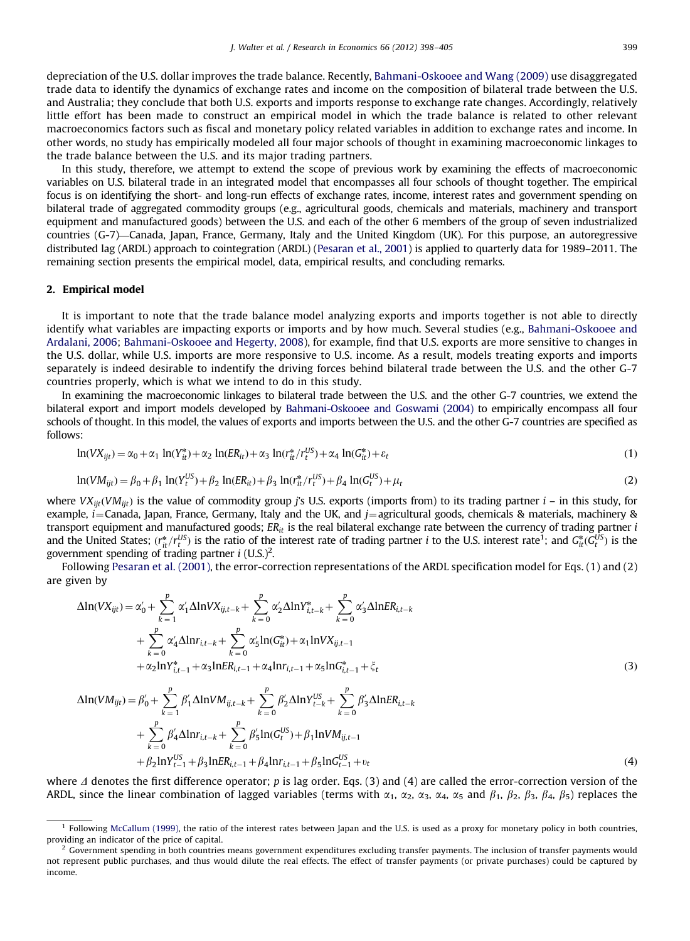depreciation of the U.S. dollar improves the trade balance. Recently, [Bahmani-Oskooee and Wang \(2009\)](#page--1-0) use disaggregated trade data to identify the dynamics of exchange rates and income on the composition of bilateral trade between the U.S. and Australia; they conclude that both U.S. exports and imports response to exchange rate changes. Accordingly, relatively little effort has been made to construct an empirical model in which the trade balance is related to other relevant macroeconomics factors such as fiscal and monetary policy related variables in addition to exchange rates and income. In other words, no study has empirically modeled all four major schools of thought in examining macroeconomic linkages to the trade balance between the U.S. and its major trading partners.

In this study, therefore, we attempt to extend the scope of previous work by examining the effects of macroeconomic variables on U.S. bilateral trade in an integrated model that encompasses all four schools of thought together. The empirical focus is on identifying the short- and long-run effects of exchange rates, income, interest rates and government spending on bilateral trade of aggregated commodity groups (e.g., agricultural goods, chemicals and materials, machinery and transport equipment and manufactured goods) between the U.S. and each of the other 6 members of the group of seven industrialized countries (G-7)—Canada, Japan, France, Germany, Italy and the United Kingdom (UK). For this purpose, an autoregressive distributed lag (ARDL) approach to cointegration (ARDL) [\(Pesaran et al., 2001](#page--1-0)) is applied to quarterly data for 1989–2011. The remaining section presents the empirical model, data, empirical results, and concluding remarks.

#### 2. Empirical model

It is important to note that the trade balance model analyzing exports and imports together is not able to directly identify what variables are impacting exports or imports and by how much. Several studies (e.g., [Bahmani-Oskooee and](#page--1-0) [Ardalani, 2006;](#page--1-0) [Bahmani-Oskooee and Hegerty, 2008\)](#page--1-0), for example, find that U.S. exports are more sensitive to changes in the U.S. dollar, while U.S. imports are more responsive to U.S. income. As a result, models treating exports and imports separately is indeed desirable to indentify the driving forces behind bilateral trade between the U.S. and the other G-7 countries properly, which is what we intend to do in this study.

In examining the macroeconomic linkages to bilateral trade between the U.S. and the other G-7 countries, we extend the bilateral export and import models developed by [Bahmani-Oskooee and Goswami \(2004\)](#page--1-0) to empirically encompass all four schools of thought. In this model, the values of exports and imports between the U.S. and the other G-7 countries are specified as follows:

$$
\ln(VX_{ijt}) = \alpha_0 + \alpha_1 \ln(Y_{it}^*) + \alpha_2 \ln(ER_{it}) + \alpha_3 \ln(Y_{it}^*/r_t^{US}) + \alpha_4 \ln(G_{it}^*) + \varepsilon_t
$$
\n(1)

$$
\ln(VM_{ijt}) = \beta_0 + \beta_1 \ln(Y_t^{US}) + \beta_2 \ln(E_{it}) + \beta_3 \ln(r_{it}^*/r_t^{US}) + \beta_4 \ln(G_t^{US}) + \mu_t
$$
\n(2)

where  $V X_{i i t} (V M_{i i t})$  is the value of commodity group j's U.S. exports (imports from) to its trading partner  $i -$  in this study, for example, *i*=Canada, Japan, France, Germany, Italy and the UK, and *j*=agricultural goods, chemicals & materials, machinery & transport equipment and manufactured goods;  $ER_{it}$  is the real bilateral exchange rate between the currency of trading partner i and the United States;  $(r_t^*/r_t^{US})$  is the ratio of the interest rate of trading partner *i* to the U.S. interest rate<sup>1</sup>; and  $G_t^*(G_t^{US})$  is the government spending of trading partner  $i$  (U.S.)<sup>2</sup>.

Following [Pesaran et al. \(2001\),](#page--1-0) the error-correction representations of the ARDL specification model for Eqs. (1) and (2) are given by

$$
\Delta \ln(VX_{ijt}) = \alpha'_{0} + \sum_{k=1}^{p} \alpha'_{1} \Delta \ln VX_{ij,t-k} + \sum_{k=0}^{p} \alpha'_{2} \Delta \ln Y_{i,t-k}^{*} + \sum_{k=0}^{p} \alpha'_{3} \Delta \ln ER_{i,t-k} + \sum_{k=0}^{p} \alpha'_{4} \Delta \ln r_{i,t-k} + \sum_{k=0}^{p} \alpha'_{5} \ln(G_{it}^{*}) + \alpha_{1} \ln VX_{ij,t-1} + \alpha_{2} \ln Y_{i,t-1}^{*} + \alpha_{3} \ln ER_{i,t-1} + \alpha_{4} \ln r_{i,t-1} + \alpha_{5} \ln G_{i,t-1}^{*} + \xi_{t}
$$
\n(3)

$$
\Delta \ln (VM_{ijt}) = \beta'_{0} + \sum_{k=1}^{p} \beta'_{1} \Delta \ln VM_{ij,t-k} + \sum_{k=0}^{p} \beta'_{2} \Delta \ln Y_{t-k}^{US} + \sum_{k=0}^{p} \beta'_{3} \Delta \ln ER_{i,t-k} + \sum_{k=0}^{p} \beta'_{4} \Delta \ln r_{i,t-k} + \sum_{k=0}^{p} \beta'_{5} \ln(G_{t}^{US}) + \beta_{1} \ln VM_{ij,t-1} + \beta_{2} \ln Y_{t-1}^{US} + \beta_{3} \ln ER_{i,t-1} + \beta_{4} \ln r_{i,t-1} + \beta_{5} \ln G_{t-1}^{US} + v_{t}
$$
\n(4)

where  $\Delta$  denotes the first difference operator; p is lag order. Eqs. (3) and (4) are called the error-correction version of the ARDL, since the linear combination of lagged variables (terms with  $\alpha_1$ ,  $\alpha_2$ ,  $\alpha_3$ ,  $\alpha_4$ ,  $\alpha_5$  and  $\beta_1$ ,  $\beta_2$ ,  $\beta_3$ ,  $\beta_4$ ,  $\beta_5$ ) replaces the

 $<sup>1</sup>$  Following [McCallum \(1999\),](#page--1-0) the ratio of the interest rates between Japan and the U.S. is used as a proxy for monetary policy in both countries,</sup> providing an indicator of the price of capital.

 $2$  Government spending in both countries means government expenditures excluding transfer payments. The inclusion of transfer payments would not represent public purchases, and thus would dilute the real effects. The effect of transfer payments (or private purchases) could be captured by income.